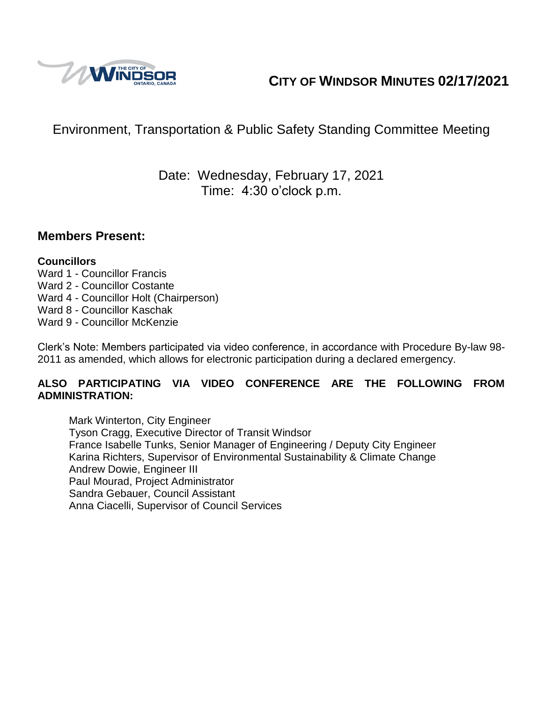

# **CITY OF WINDSOR MINUTES 02/17/2021**

# Environment, Transportation & Public Safety Standing Committee Meeting

## Date: Wednesday, February 17, 2021 Time: 4:30 o'clock p.m.

### **Members Present:**

#### **Councillors**

- Ward 1 Councillor Francis
- Ward 2 Councillor Costante
- Ward 4 Councillor Holt (Chairperson)
- Ward 8 Councillor Kaschak
- Ward 9 Councillor McKenzie

Clerk's Note: Members participated via video conference, in accordance with Procedure By-law 98- 2011 as amended, which allows for electronic participation during a declared emergency.

#### **ALSO PARTICIPATING VIA VIDEO CONFERENCE ARE THE FOLLOWING FROM ADMINISTRATION:**

Mark Winterton, City Engineer Tyson Cragg, Executive Director of Transit Windsor France Isabelle Tunks, Senior Manager of Engineering / Deputy City Engineer Karina Richters, Supervisor of Environmental Sustainability & Climate Change Andrew Dowie, Engineer III Paul Mourad, Project Administrator Sandra Gebauer, Council Assistant Anna Ciacelli, Supervisor of Council Services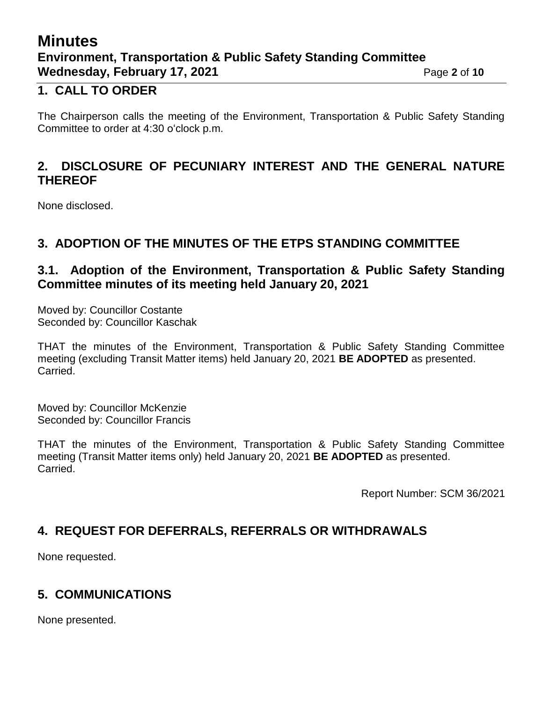# **Minutes Environment, Transportation & Public Safety Standing Committee Wednesday, February 17, 2021 Page 2** of 10

### **1. CALL TO ORDER**

The Chairperson calls the meeting of the Environment, Transportation & Public Safety Standing Committee to order at 4:30 o'clock p.m.

### **2. DISCLOSURE OF PECUNIARY INTEREST AND THE GENERAL NATURE THEREOF**

None disclosed.

### **3. ADOPTION OF THE MINUTES OF THE ETPS STANDING COMMITTEE**

### **3.1. Adoption of the Environment, Transportation & Public Safety Standing Committee minutes of its meeting held January 20, 2021**

Moved by: Councillor Costante Seconded by: Councillor Kaschak

THAT the minutes of the Environment, Transportation & Public Safety Standing Committee meeting (excluding Transit Matter items) held January 20, 2021 **BE ADOPTED** as presented. Carried.

Moved by: Councillor McKenzie Seconded by: Councillor Francis

THAT the minutes of the Environment, Transportation & Public Safety Standing Committee meeting (Transit Matter items only) held January 20, 2021 **BE ADOPTED** as presented. Carried.

Report Number: SCM 36/2021

## **4. REQUEST FOR DEFERRALS, REFERRALS OR WITHDRAWALS**

None requested.

## **5. COMMUNICATIONS**

None presented.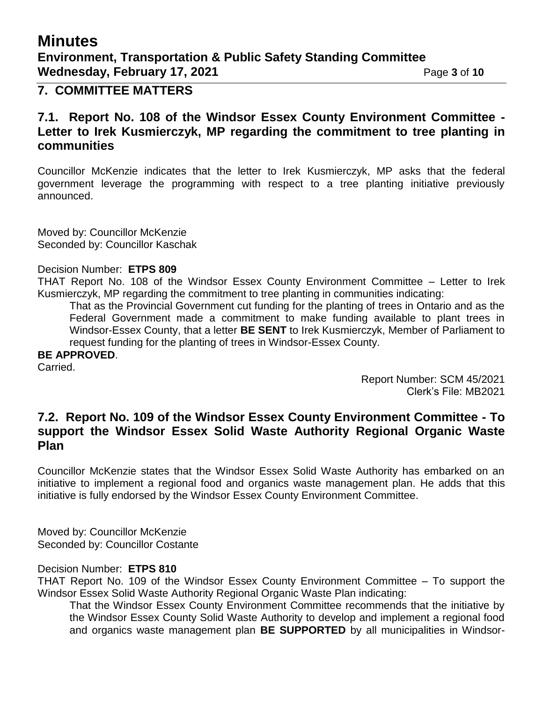# **Minutes**

## **7. COMMITTEE MATTERS**

### **7.1. Report No. 108 of the Windsor Essex County Environment Committee - Letter to Irek Kusmierczyk, MP regarding the commitment to tree planting in communities**

Councillor McKenzie indicates that the letter to Irek Kusmierczyk, MP asks that the federal government leverage the programming with respect to a tree planting initiative previously announced.

Moved by: Councillor McKenzie Seconded by: Councillor Kaschak

#### Decision Number: **ETPS 809**

THAT Report No. 108 of the Windsor Essex County Environment Committee – Letter to Irek Kusmierczyk, MP regarding the commitment to tree planting in communities indicating:

That as the Provincial Government cut funding for the planting of trees in Ontario and as the Federal Government made a commitment to make funding available to plant trees in Windsor-Essex County, that a letter **BE SENT** to Irek Kusmierczyk, Member of Parliament to request funding for the planting of trees in Windsor-Essex County.

**BE APPROVED**.

Carried.

Report Number: SCM 45/2021 Clerk's File: MB2021

### **7.2. Report No. 109 of the Windsor Essex County Environment Committee - To support the Windsor Essex Solid Waste Authority Regional Organic Waste Plan**

Councillor McKenzie states that the Windsor Essex Solid Waste Authority has embarked on an initiative to implement a regional food and organics waste management plan. He adds that this initiative is fully endorsed by the Windsor Essex County Environment Committee.

Moved by: Councillor McKenzie Seconded by: Councillor Costante

#### Decision Number: **ETPS 810**

THAT Report No. 109 of the Windsor Essex County Environment Committee – To support the Windsor Essex Solid Waste Authority Regional Organic Waste Plan indicating:

That the Windsor Essex County Environment Committee recommends that the initiative by the Windsor Essex County Solid Waste Authority to develop and implement a regional food and organics waste management plan **BE SUPPORTED** by all municipalities in Windsor-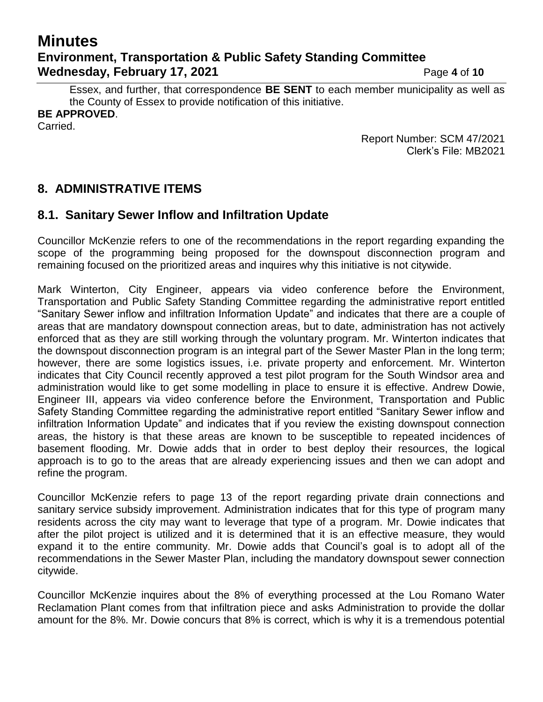# **Minutes Environment, Transportation & Public Safety Standing Committee Wednesday, February 17, 2021** Page 4 of 10

Essex, and further, that correspondence **BE SENT** to each member municipality as well as the County of Essex to provide notification of this initiative. **BE APPROVED**.

Carried.

Report Number: SCM 47/2021 Clerk's File: MB2021

## **8. ADMINISTRATIVE ITEMS**

### **8.1. Sanitary Sewer Inflow and Infiltration Update**

Councillor McKenzie refers to one of the recommendations in the report regarding expanding the scope of the programming being proposed for the downspout disconnection program and remaining focused on the prioritized areas and inquires why this initiative is not citywide.

Mark Winterton, City Engineer, appears via video conference before the Environment, Transportation and Public Safety Standing Committee regarding the administrative report entitled "Sanitary Sewer inflow and infiltration Information Update" and indicates that there are a couple of areas that are mandatory downspout connection areas, but to date, administration has not actively enforced that as they are still working through the voluntary program. Mr. Winterton indicates that the downspout disconnection program is an integral part of the Sewer Master Plan in the long term; however, there are some logistics issues, i.e. private property and enforcement. Mr. Winterton indicates that City Council recently approved a test pilot program for the South Windsor area and administration would like to get some modelling in place to ensure it is effective. Andrew Dowie, Engineer III, appears via video conference before the Environment, Transportation and Public Safety Standing Committee regarding the administrative report entitled "Sanitary Sewer inflow and infiltration Information Update" and indicates that if you review the existing downspout connection areas, the history is that these areas are known to be susceptible to repeated incidences of basement flooding. Mr. Dowie adds that in order to best deploy their resources, the logical approach is to go to the areas that are already experiencing issues and then we can adopt and refine the program.

Councillor McKenzie refers to page 13 of the report regarding private drain connections and sanitary service subsidy improvement. Administration indicates that for this type of program many residents across the city may want to leverage that type of a program. Mr. Dowie indicates that after the pilot project is utilized and it is determined that it is an effective measure, they would expand it to the entire community. Mr. Dowie adds that Council's goal is to adopt all of the recommendations in the Sewer Master Plan, including the mandatory downspout sewer connection citywide.

Councillor McKenzie inquires about the 8% of everything processed at the Lou Romano Water Reclamation Plant comes from that infiltration piece and asks Administration to provide the dollar amount for the 8%. Mr. Dowie concurs that 8% is correct, which is why it is a tremendous potential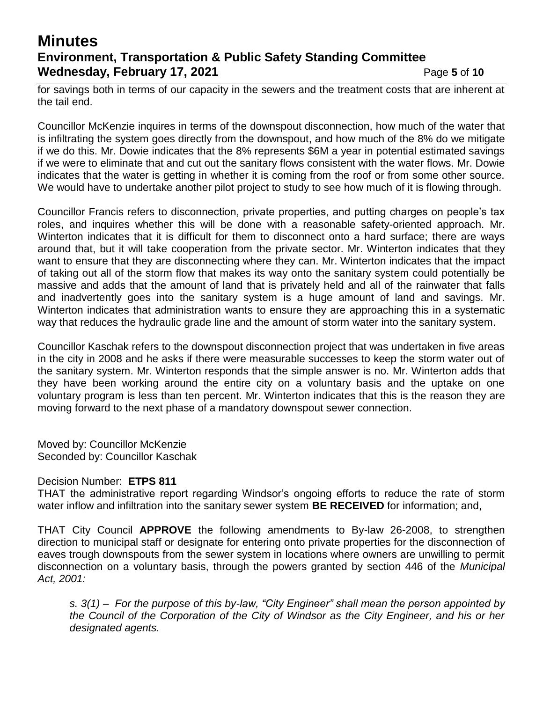# **Minutes Environment, Transportation & Public Safety Standing Committee Wednesday, February 17, 2021 Page 5** of 10

for savings both in terms of our capacity in the sewers and the treatment costs that are inherent at the tail end.

Councillor McKenzie inquires in terms of the downspout disconnection, how much of the water that is infiltrating the system goes directly from the downspout, and how much of the 8% do we mitigate if we do this. Mr. Dowie indicates that the 8% represents \$6M a year in potential estimated savings if we were to eliminate that and cut out the sanitary flows consistent with the water flows. Mr. Dowie indicates that the water is getting in whether it is coming from the roof or from some other source. We would have to undertake another pilot project to study to see how much of it is flowing through.

Councillor Francis refers to disconnection, private properties, and putting charges on people's tax roles, and inquires whether this will be done with a reasonable safety-oriented approach. Mr. Winterton indicates that it is difficult for them to disconnect onto a hard surface; there are ways around that, but it will take cooperation from the private sector. Mr. Winterton indicates that they want to ensure that they are disconnecting where they can. Mr. Winterton indicates that the impact of taking out all of the storm flow that makes its way onto the sanitary system could potentially be massive and adds that the amount of land that is privately held and all of the rainwater that falls and inadvertently goes into the sanitary system is a huge amount of land and savings. Mr. Winterton indicates that administration wants to ensure they are approaching this in a systematic way that reduces the hydraulic grade line and the amount of storm water into the sanitary system.

Councillor Kaschak refers to the downspout disconnection project that was undertaken in five areas in the city in 2008 and he asks if there were measurable successes to keep the storm water out of the sanitary system. Mr. Winterton responds that the simple answer is no. Mr. Winterton adds that they have been working around the entire city on a voluntary basis and the uptake on one voluntary program is less than ten percent. Mr. Winterton indicates that this is the reason they are moving forward to the next phase of a mandatory downspout sewer connection.

Moved by: Councillor McKenzie Seconded by: Councillor Kaschak

#### Decision Number: **ETPS 811**

THAT the administrative report regarding Windsor's ongoing efforts to reduce the rate of storm water inflow and infiltration into the sanitary sewer system **BE RECEIVED** for information; and,

THAT City Council **APPROVE** the following amendments to By-law 26-2008, to strengthen direction to municipal staff or designate for entering onto private properties for the disconnection of eaves trough downspouts from the sewer system in locations where owners are unwilling to permit disconnection on a voluntary basis, through the powers granted by section 446 of the *Municipal Act, 2001:*

*s. 3(1) – For the purpose of this by-law, "City Engineer" shall mean the person appointed by the Council of the Corporation of the City of Windsor as the City Engineer, and his or her designated agents.*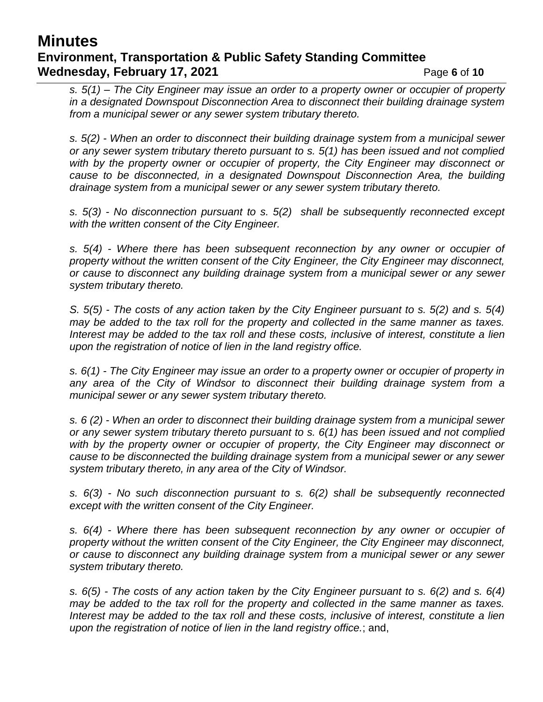## **Minutes Environment, Transportation & Public Safety Standing Committee Wednesday, February 17, 2021 Page 6** of 10

*s. 5(1) – The City Engineer may issue an order to a property owner or occupier of property in a designated Downspout Disconnection Area to disconnect their building drainage system from a municipal sewer or any sewer system tributary thereto.* 

*s. 5(2) - When an order to disconnect their building drainage system from a municipal sewer or any sewer system tributary thereto pursuant to s. 5(1) has been issued and not complied with by the property owner or occupier of property, the City Engineer may disconnect or cause to be disconnected, in a designated Downspout Disconnection Area, the building drainage system from a municipal sewer or any sewer system tributary thereto.* 

*s. 5(3) - No disconnection pursuant to s. 5(2) shall be subsequently reconnected except with the written consent of the City Engineer.*

*s. 5(4) - Where there has been subsequent reconnection by any owner or occupier of property without the written consent of the City Engineer, the City Engineer may disconnect, or cause to disconnect any building drainage system from a municipal sewer or any sewer system tributary thereto.* 

*S. 5(5) - The costs of any action taken by the City Engineer pursuant to s. 5(2) and s. 5(4) may be added to the tax roll for the property and collected in the same manner as taxes. Interest may be added to the tax roll and these costs, inclusive of interest, constitute a lien upon the registration of notice of lien in the land registry office.*

*s. 6(1) - The City Engineer may issue an order to a property owner or occupier of property in*  any area of the City of Windsor to disconnect their building drainage system from a *municipal sewer or any sewer system tributary thereto.* 

*s. 6 (2) - When an order to disconnect their building drainage system from a municipal sewer or any sewer system tributary thereto pursuant to s. 6(1) has been issued and not complied with by the property owner or occupier of property, the City Engineer may disconnect or cause to be disconnected the building drainage system from a municipal sewer or any sewer system tributary thereto, in any area of the City of Windsor.* 

*s. 6(3) - No such disconnection pursuant to s. 6(2) shall be subsequently reconnected except with the written consent of the City Engineer.* 

*s. 6(4) - Where there has been subsequent reconnection by any owner or occupier of property without the written consent of the City Engineer, the City Engineer may disconnect, or cause to disconnect any building drainage system from a municipal sewer or any sewer system tributary thereto.* 

*s. 6(5) - The costs of any action taken by the City Engineer pursuant to s. 6(2) and s. 6(4) may be added to the tax roll for the property and collected in the same manner as taxes. Interest may be added to the tax roll and these costs, inclusive of interest, constitute a lien upon the registration of notice of lien in the land registry office.*; and,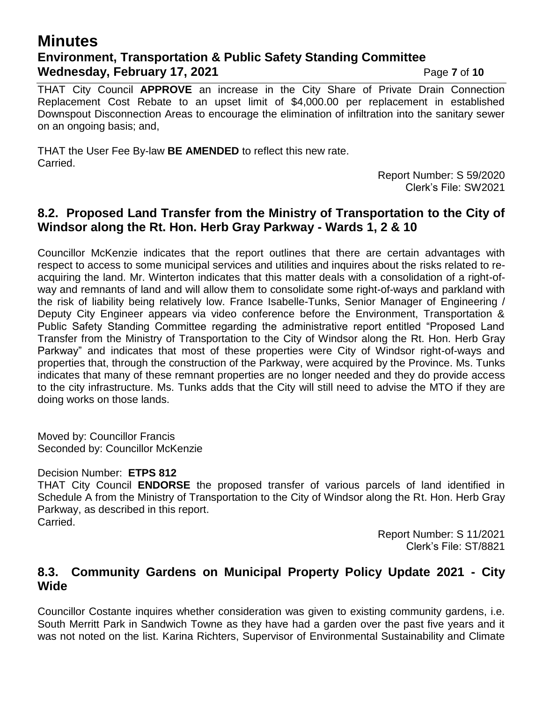## **Minutes Environment, Transportation & Public Safety Standing Committee Wednesday, February 17, 2021** Page 7 of 10

THAT City Council **APPROVE** an increase in the City Share of Private Drain Connection Replacement Cost Rebate to an upset limit of \$4,000.00 per replacement in established Downspout Disconnection Areas to encourage the elimination of infiltration into the sanitary sewer on an ongoing basis; and,

THAT the User Fee By-law **BE AMENDED** to reflect this new rate. Carried.

> Report Number: S 59/2020 Clerk's File: SW2021

#### **8.2. Proposed Land Transfer from the Ministry of Transportation to the City of Windsor along the Rt. Hon. Herb Gray Parkway - Wards 1, 2 & 10**

Councillor McKenzie indicates that the report outlines that there are certain advantages with respect to access to some municipal services and utilities and inquires about the risks related to reacquiring the land. Mr. Winterton indicates that this matter deals with a consolidation of a right-ofway and remnants of land and will allow them to consolidate some right-of-ways and parkland with the risk of liability being relatively low. France Isabelle-Tunks, Senior Manager of Engineering / Deputy City Engineer appears via video conference before the Environment, Transportation & Public Safety Standing Committee regarding the administrative report entitled "Proposed Land Transfer from the Ministry of Transportation to the City of Windsor along the Rt. Hon. Herb Gray Parkway" and indicates that most of these properties were City of Windsor right-of-ways and properties that, through the construction of the Parkway, were acquired by the Province. Ms. Tunks indicates that many of these remnant properties are no longer needed and they do provide access to the city infrastructure. Ms. Tunks adds that the City will still need to advise the MTO if they are doing works on those lands.

Moved by: Councillor Francis Seconded by: Councillor McKenzie

#### Decision Number: **ETPS 812**

THAT City Council **ENDORSE** the proposed transfer of various parcels of land identified in Schedule A from the Ministry of Transportation to the City of Windsor along the Rt. Hon. Herb Gray Parkway, as described in this report. Carried.

> Report Number: S 11/2021 Clerk's File: ST/8821

### **8.3. Community Gardens on Municipal Property Policy Update 2021 - City Wide**

Councillor Costante inquires whether consideration was given to existing community gardens, i.e. South Merritt Park in Sandwich Towne as they have had a garden over the past five years and it was not noted on the list. Karina Richters, Supervisor of Environmental Sustainability and Climate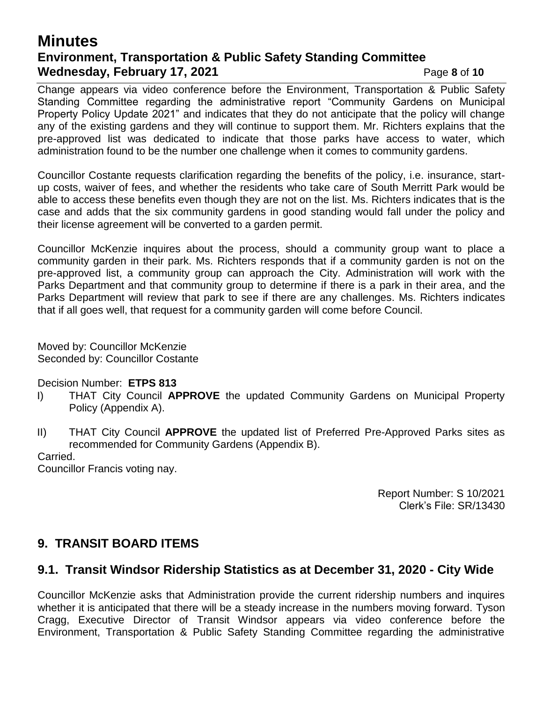## **Minutes Environment, Transportation & Public Safety Standing Committee Wednesday, February 17, 2021 Page 8 of 10**

Change appears via video conference before the Environment, Transportation & Public Safety Standing Committee regarding the administrative report "Community Gardens on Municipal Property Policy Update 2021" and indicates that they do not anticipate that the policy will change any of the existing gardens and they will continue to support them. Mr. Richters explains that the pre-approved list was dedicated to indicate that those parks have access to water, which administration found to be the number one challenge when it comes to community gardens.

Councillor Costante requests clarification regarding the benefits of the policy, i.e. insurance, startup costs, waiver of fees, and whether the residents who take care of South Merritt Park would be able to access these benefits even though they are not on the list. Ms. Richters indicates that is the case and adds that the six community gardens in good standing would fall under the policy and their license agreement will be converted to a garden permit.

Councillor McKenzie inquires about the process, should a community group want to place a community garden in their park. Ms. Richters responds that if a community garden is not on the pre-approved list, a community group can approach the City. Administration will work with the Parks Department and that community group to determine if there is a park in their area, and the Parks Department will review that park to see if there are any challenges. Ms. Richters indicates that if all goes well, that request for a community garden will come before Council.

Moved by: Councillor McKenzie Seconded by: Councillor Costante

#### Decision Number: **ETPS 813**

- I) THAT City Council **APPROVE** the updated Community Gardens on Municipal Property Policy (Appendix A).
- II) THAT City Council **APPROVE** the updated list of Preferred Pre-Approved Parks sites as recommended for Community Gardens (Appendix B).

Carried.

Councillor Francis voting nay.

Report Number: S 10/2021 Clerk's File: SR/13430

### **9. TRANSIT BOARD ITEMS**

#### **9.1. Transit Windsor Ridership Statistics as at December 31, 2020 - City Wide**

Councillor McKenzie asks that Administration provide the current ridership numbers and inquires whether it is anticipated that there will be a steady increase in the numbers moving forward. Tyson Cragg, Executive Director of Transit Windsor appears via video conference before the Environment, Transportation & Public Safety Standing Committee regarding the administrative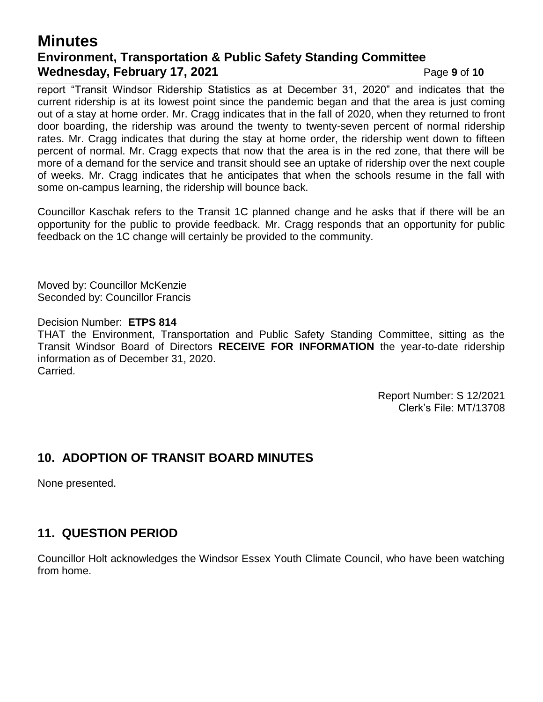## **Minutes Environment, Transportation & Public Safety Standing Committee Wednesday, February 17, 2021 Page 9** of 10

report "Transit Windsor Ridership Statistics as at December 31, 2020" and indicates that the current ridership is at its lowest point since the pandemic began and that the area is just coming out of a stay at home order. Mr. Cragg indicates that in the fall of 2020, when they returned to front door boarding, the ridership was around the twenty to twenty-seven percent of normal ridership rates. Mr. Cragg indicates that during the stay at home order, the ridership went down to fifteen percent of normal. Mr. Cragg expects that now that the area is in the red zone, that there will be more of a demand for the service and transit should see an uptake of ridership over the next couple of weeks. Mr. Cragg indicates that he anticipates that when the schools resume in the fall with some on-campus learning, the ridership will bounce back.

Councillor Kaschak refers to the Transit 1C planned change and he asks that if there will be an opportunity for the public to provide feedback. Mr. Cragg responds that an opportunity for public feedback on the 1C change will certainly be provided to the community.

Moved by: Councillor McKenzie Seconded by: Councillor Francis

Decision Number: **ETPS 814** THAT the Environment, Transportation and Public Safety Standing Committee, sitting as the Transit Windsor Board of Directors **RECEIVE FOR INFORMATION** the year-to-date ridership information as of December 31, 2020. Carried.

> Report Number: S 12/2021 Clerk's File: MT/13708

## **10. ADOPTION OF TRANSIT BOARD MINUTES**

None presented.

## **11. QUESTION PERIOD**

Councillor Holt acknowledges the Windsor Essex Youth Climate Council, who have been watching from home.